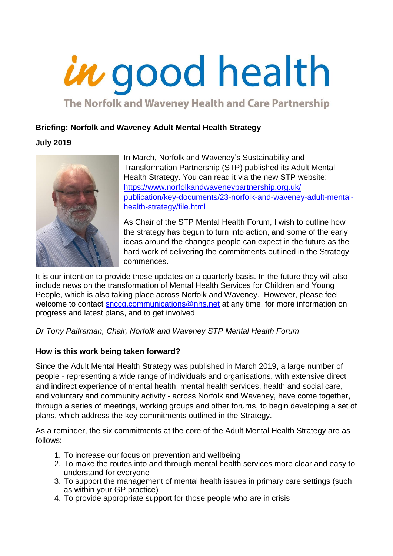# in good health

The Norfolk and Waveney Health and Care Partnership

# **Briefing: Norfolk and Waveney Adult Mental Health Strategy**

# **July 2019**



In March, Norfolk and Waveney's Sustainability and Transformation Partnership (STP) published its Adult Mental Health Strategy. You can read it via the new STP website: [https://www.norfolkandwaveneypartnership.org.uk/](https://www.norfolkandwaveneypartnership.org.uk/%20publication/key-documents/23-norfolk-and-waveney-adult-mental-health-strategy/file.html)  [publication/key-documents/23-norfolk-and-waveney-adult-mental](https://www.norfolkandwaveneypartnership.org.uk/%20publication/key-documents/23-norfolk-and-waveney-adult-mental-health-strategy/file.html)[health-strategy/file.html](https://www.norfolkandwaveneypartnership.org.uk/%20publication/key-documents/23-norfolk-and-waveney-adult-mental-health-strategy/file.html)

As Chair of the STP Mental Health Forum, I wish to outline how the strategy has begun to turn into action, and some of the early ideas around the changes people can expect in the future as the hard work of delivering the commitments outlined in the Strategy commences.

It is our intention to provide these updates on a quarterly basis. In the future they will also include news on the transformation of Mental Health Services for Children and Young People, which is also taking place across Norfolk and Waveney.However, please feel welcome to contact [snccg.communications@nhs.net](mailto:snccg.communications@nhs.net) at any time, for more information on progress and latest plans, and to get involved.

# *Dr Tony Palframan, Chair, Norfolk and Waveney STP Mental Health Forum*

# **How is this work being taken forward?**

Since the Adult Mental Health Strategy was published in March 2019, a large number of people - representing a wide range of individuals and organisations, with extensive direct and indirect experience of mental health, mental health services, health and social care, and voluntary and community activity - across Norfolk and Waveney, have come together, through a series of meetings, working groups and other forums, to begin developing a set of plans, which address the key commitments outlined in the Strategy.

As a reminder, the six commitments at the core of the Adult Mental Health Strategy are as follows:

- 1. To increase our focus on prevention and wellbeing
- 2. To make the routes into and through mental health services more clear and easy to understand for everyone
- 3. To support the management of mental health issues in primary care settings (such as within your GP practice)
- 4. To provide appropriate support for those people who are in crisis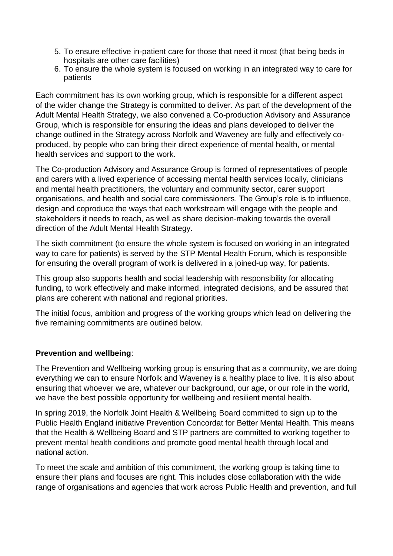- 5. To ensure effective in-patient care for those that need it most (that being beds in hospitals are other care facilities)
- 6. To ensure the whole system is focused on working in an integrated way to care for patients

Each commitment has its own working group, which is responsible for a different aspect of the wider change the Strategy is committed to deliver. As part of the development of the Adult Mental Health Strategy, we also convened a Co-production Advisory and Assurance Group, which is responsible for ensuring the ideas and plans developed to deliver the change outlined in the Strategy across Norfolk and Waveney are fully and effectively coproduced, by people who can bring their direct experience of mental health, or mental health services and support to the work.

The Co-production Advisory and Assurance Group is formed of representatives of people and carers with a lived experience of accessing mental health services locally, clinicians and mental health practitioners, the voluntary and community sector, carer support organisations, and health and social care commissioners. The Group's role is to influence, design and coproduce the ways that each workstream will engage with the people and stakeholders it needs to reach, as well as share decision-making towards the overall direction of the Adult Mental Health Strategy.

The sixth commitment (to ensure the whole system is focused on working in an integrated way to care for patients) is served by the STP Mental Health Forum, which is responsible for ensuring the overall program of work is delivered in a joined-up way, for patients.

This group also supports health and social leadership with responsibility for allocating funding, to work effectively and make informed, integrated decisions, and be assured that plans are coherent with national and regional priorities.

The initial focus, ambition and progress of the working groups which lead on delivering the five remaining commitments are outlined below.

## **Prevention and wellbeing**:

The Prevention and Wellbeing working group is ensuring that as a community, we are doing everything we can to ensure Norfolk and Waveney is a healthy place to live. It is also about ensuring that whoever we are, whatever our background, our age, or our role in the world, we have the best possible opportunity for wellbeing and resilient mental health.

In spring 2019, the Norfolk Joint Health & Wellbeing Board committed to sign up to the Public Health England initiative Prevention Concordat for Better Mental Health. This means that the Health & Wellbeing Board and STP partners are committed to working together to prevent mental health conditions and promote good mental health through local and national action.

To meet the scale and ambition of this commitment, the working group is taking time to ensure their plans and focuses are right. This includes close collaboration with the wide range of organisations and agencies that work across Public Health and prevention, and full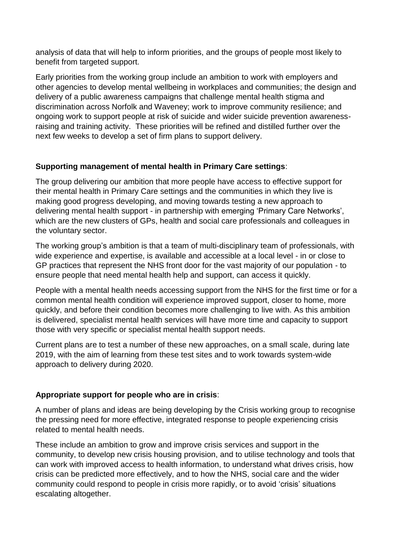analysis of data that will help to inform priorities, and the groups of people most likely to benefit from targeted support.

Early priorities from the working group include an ambition to work with employers and other agencies to develop mental wellbeing in workplaces and communities; the design and delivery of a public awareness campaigns that challenge mental health stigma and discrimination across Norfolk and Waveney; work to improve community resilience; and ongoing work to support people at risk of suicide and wider suicide prevention awarenessraising and training activity. These priorities will be refined and distilled further over the next few weeks to develop a set of firm plans to support delivery.

## **Supporting management of mental health in Primary Care settings**:

The group delivering our ambition that more people have access to effective support for their mental health in Primary Care settings and the communities in which they live is making good progress developing, and moving towards testing a new approach to delivering mental health support - in partnership with emerging 'Primary Care Networks', which are the new clusters of GPs, health and social care professionals and colleagues in the voluntary sector.

The working group's ambition is that a team of multi-disciplinary team of professionals, with wide experience and expertise, is available and accessible at a local level - in or close to GP practices that represent the NHS front door for the vast majority of our population - to ensure people that need mental health help and support, can access it quickly.

People with a mental health needs accessing support from the NHS for the first time or for a common mental health condition will experience improved support, closer to home, more quickly, and before their condition becomes more challenging to live with. As this ambition is delivered, specialist mental health services will have more time and capacity to support those with very specific or specialist mental health support needs.

Current plans are to test a number of these new approaches, on a small scale, during late 2019, with the aim of learning from these test sites and to work towards system-wide approach to delivery during 2020.

## **Appropriate support for people who are in crisis**:

A number of plans and ideas are being developing by the Crisis working group to recognise the pressing need for more effective, integrated response to people experiencing crisis related to mental health needs.

These include an ambition to grow and improve crisis services and support in the community, to develop new crisis housing provision, and to utilise technology and tools that can work with improved access to health information, to understand what drives crisis, how crisis can be predicted more effectively, and to how the NHS, social care and the wider community could respond to people in crisis more rapidly, or to avoid 'crisis' situations escalating altogether.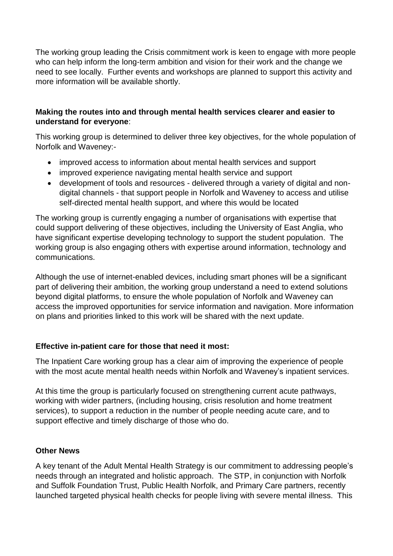The working group leading the Crisis commitment work is keen to engage with more people who can help inform the long-term ambition and vision for their work and the change we need to see locally. Further events and workshops are planned to support this activity and more information will be available shortly.

### **Making the routes into and through mental health services clearer and easier to understand for everyone**:

This working group is determined to deliver three key objectives, for the whole population of Norfolk and Waveney:-

- improved access to information about mental health services and support
- improved experience navigating mental health service and support
- development of tools and resources delivered through a variety of digital and nondigital channels - that support people in Norfolk and Waveney to access and utilise self-directed mental health support, and where this would be located

The working group is currently engaging a number of organisations with expertise that could support delivering of these objectives, including the University of East Anglia, who have significant expertise developing technology to support the student population. The working group is also engaging others with expertise around information, technology and communications.

Although the use of internet-enabled devices, including smart phones will be a significant part of delivering their ambition, the working group understand a need to extend solutions beyond digital platforms, to ensure the whole population of Norfolk and Waveney can access the improved opportunities for service information and navigation. More information on plans and priorities linked to this work will be shared with the next update.

## **Effective in-patient care for those that need it most:**

The Inpatient Care working group has a clear aim of improving the experience of people with the most acute mental health needs within Norfolk and Waveney's inpatient services.

At this time the group is particularly focused on strengthening current acute pathways, working with wider partners, (including housing, crisis resolution and home treatment services), to support a reduction in the number of people needing acute care, and to support effective and timely discharge of those who do.

## **Other News**

A key tenant of the Adult Mental Health Strategy is our commitment to addressing people's needs through an integrated and holistic approach. The STP, in conjunction with Norfolk and Suffolk Foundation Trust, Public Health Norfolk, and Primary Care partners, recently launched targeted physical health checks for people living with severe mental illness. This